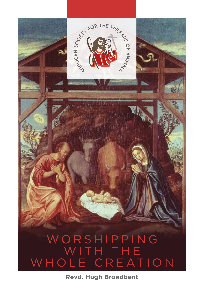W O R S H I P P I N G WITH THE WHOLE CREATION

SOCKITY FOR THE WELF AND

**Revd. Hugh Broadbent**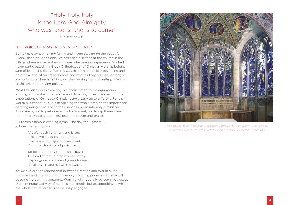# "Holy, holy, holy is the Lord God Almighty, who was, and is, and is to come".

(Revelation 4:8)

#### 'THE VOICE OF PRAYER IS NEVER SILENT…':

Some years ago, when my family and I were staying on the beautiful Greek island of Cephalonia, we attended a service at the church in the village where we were staying. It was a fascinating experience. We had never participated in a Greek Orthodox act of Christian worship before. One of its most striking features was that it had no clear beginning and no official end either. People came and went as they pleased, drifting in and out of the church, lighting candles, kissing icons, chanting, listening to the priest or praying quietly.

Most Christians in this country are accustomed to a congregation arriving for the start of a service and departing when it is over, but the expectations of Orthodox Christians are clearly quite different. For them worship is continuous. It is happening the whole time, so the importance of a beginning or an end to their services is considerably diminished. Their aim is, not to participate in a finite event, but to dip themselves momentarily into a boundless ocean of prayer and praise.

J. Ellerton's famous evening hymn, 'The day thou gavest…', echoes their outlook: -

> "As o'er each continent and island The dawn leads on another day, The voice of prayer is never silent, Nor dies the strain of praise away.

So be it, Lord, thy throne shall never Like earth's proud empires pass away. Thy kingdom stands and grows for ever 'Til all thy creatures own thy sway".

As we explore the relationship between Creation and Worship, the importance of this notion of universal, unending prayer and praise will become increasingly apparent. Worship will hopefully be seen, not just as the continuous activity of humans and angels, but as something in which the whole natural order is ceaselessly engaged.



*The beautiful blue window at Gloucester Cathedral by Tom Denny. The Window depicts the apostle Thomas and the song of creation based on Psalm 148.*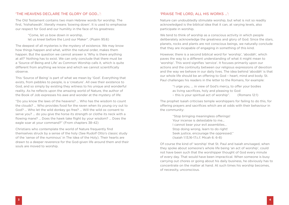#### 'THE HEAVENS DECLARE THE GLORY OF GOD…':

The Old Testament contains two main Hebrew words for worship. The first, 'hishahawáh', literally means 'bowing down'. It is used to emphasise our respect for God and our humility in the face of his greatness:

> "Come, let us bow down in worship, let us kneel before the Lord our Maker". (Psalm 95:6)

The deepest of all mysteries is the mystery of existence. We may know how things happen and what, within the natural order, makes them happen. But the question we cannot answer is 'Why is there anything at all?' Nothing has to exist. We can only conclude that there must be a 'Source of Being and Life' as Common Worship calls it, which is quite different from anything we know and which we cannot scientifically observe.

This 'Source of Being' is part of what we mean by 'God'. Everything that exists, from pebbles to people, is a 'creature'. All owe their existence to God, and so simply by existing they witness to his unique and wonderful reality. As he reflects upon the amazing world of Nature, the author of the Book of Job expresses his awe and wonder at the mystery of life:

"Do you know the laws of the heavens? … Who has the wisdom to count the clouds? … Who provides food for the raven when its young cry out to God? … Who let the wild donkey go free? … Will the wild ox consent to serve you? … do you give the horse its strength or clothe its neck with a flowing mane? … Does the hawk take flight by your wisdom? … Does the eagle soar at your command?" (From chapters 38-42)

Christians who contemplate the world of Nature frequently find themselves struck by a sense of the holy (See Rudolf Otto's classic study of the 'sense of the numinous' in The Idea of the Holy). Their hearts are drawn to a deeper reverence for the God-given life around them and their souls are moved to worship.

#### 'PRAISE THE LORD, ALL HIS WORKS …':

Nature can undoubtedly stimulate worship, but what is not so readily acknowledged is the biblical idea that it can, at varying levels, also participate in worship.

We tend to think of worship as a conscious activity in which people deliberately acknowledge the greatness and glory of God. Since the stars, planets, rocks and plants are not conscious beings, we naturally conclude that they are incapable of engaging in something of this kind.

However, there is a second biblical word for 'worship', 'abodáh', which paves the way to a different understanding of what it might mean to 'worship'. This word signifies 'service'. It focuses primarily upon our actions and the continuity between our religious expressions of devotion and the way we behave in our daily lives. The idea behind 'abodáh' is that our whole life should be an offering to God – heart, mind and body. St. Paul challenges his readers in the letter to the Romans, for example:

"I urge you, … in view of God's mercy, to offer your bodies as living sacrifices, holy and pleasing to God – this is your spiritual act of worship". (Romans 12:1)

The prophet Isaiah criticises temple worshippers for failing to do this, for offering prayers and sacrifices which are at odds with their behaviour in the community:

> "Stop bringing meaningless offerings! Your incense is detestable to me… I cannot bear your evil assemblies… Stop doing wrong, learn to do right! Seek justice, encourage the oppressed." (Isaiah 1:13,16-17.c.f. Micah 6: 6-8)

Of course the kind of 'worship' that St. Paul and Isaiah envisaged, when they spoke about someone's whole life being 'an act of worship', could not have been such that the worshipper thought of God every minute of every day. That would have been impractical. When someone is busy carrying out chores or going about his daily business, he obviously has to concentrate on the matter at hand. At such times his worship becomes, of necessity, unconscious.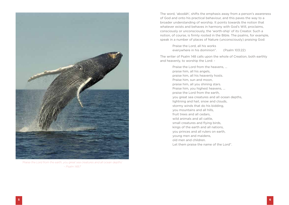

*'Praise the Lord from the earth, you great sea creatures and all ocean depths' – Psalm 148:7*

The word, 'abodáh', shifts the emphasis away from a person's awareness of God and onto his practical behaviour, and this paves the way to a broader understanding of worship. It points towards the notion that whatever exists and behaves in harmony with God's Will, proclaims, consciously or unconsciously, the 'worth-ship' of its Creator. Such a notion, of course, is firmly rooted in the Bible. The psalms, for example, speak in a number of places of Nature (unconsciously) praising God:

> Praise the Lord, all his works everywhere in his dominion". (Psalm 103:22)

The writer of Psalm 148 calls upon the whole of Creation, both earthly and heavenly, to worship the Lord: -

> Praise the Lord from the heavens, … praise him, all his angels, praise him, all his heavenly hosts. Praise him, sun and moon, praise him, all you shining stars. Praise him, you highest heavens, … praise the Lord from the earth, you great sea creatures and all ocean depths, lightning and hail, snow and clouds, stormy winds that do his bidding, you mountains and all hills, fruit trees and all cedars, wild animals and all cattle, small creatures and flying birds, kings of the earth and all nations, you princes and all rulers on earth, young men and maidens, old men and children. Let them praise the name of the Lord".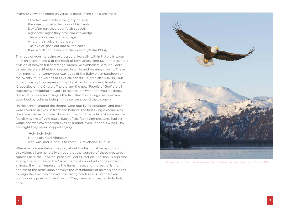Psalm 19 views the entire universe as proclaiming God's greatness: -

"The heavens declare the glory of God; the skies proclaim the work of his hands. Day after day they pour forth speech; night after night they proclaim knowledge. There is no speech or language where their voice is not heard. Their voice goes out into all the earth. their words to the ends of the world". (Psalm 19:1-4)

This idea of worship being expressed universally within Nature is taken up in chapters 4 and 5 of the Book of Revelation. Here St. John describes a vision of heaven full of strange, dreamlike symbolism. Around God's throne there are 24 elders, dressed in white and wearing crowns. These may refer to the twenty-four star-gods of the Babylonian pantheon or the twenty-four divisions of Levitical priests (1 Chronicles 24:7-18), but more probably they represent the 12 patriarchs of ancient Israel and the 12 apostles of the Church. The old and the new 'People of God' are all together worshipping in God's presence. It is what one would expect. But what is more surprising is the fact that 'four living creatures' are described by John as being 'in the centre around the throne': -

"In the centre, around the throne, were four living creatures, and they were covered in eyes, in front and behind. The first living creature was like a lion, the second was like an ox, the third had a face like a man, the fourth was like a flying eagle. Each of the four living creatures had six wings and was covered with eyes all around, even under his wings. Day and night they never stopped saying:

> 'Holy, holy, holy is the Lord God Almighty, who was, and is, and is to come'." (Revelation 4:6b-8)

Whatever commentators may say about the historical background to this vision, all are generally agreed that the worship of these creatures signifies here the universal praise of God's Creation. The 'lion' is supreme among the wild beasts; the 'ox' is the most important of the domestic animals; the 'man' represents the human race; and the 'eagle' is the noblest of the birds. John conveys the vast number of animals and birds through the eyes, which cover the 'living creatures'. All of them are continuously praising their Creator. 'They never stop saying: holy, holy, holy…'



*'Praise the Lord from the heavens; Praise him in the heights above…' Psalm 148:1*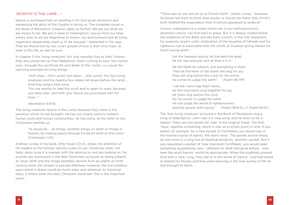#### 'WORTHY IS THE LAMB …':

Nature is portrayed here as revelling in its God-given existence and expressing the glory of the Creator in doing so. The complete vision in the Book of Revelation, however, takes us further. We are not what we are meant to be. We are in need of 'redemption', rescue from our false selves; and, as we are beginning to realise, our environment and all living organisms desperately need us to be rescued – redeemed in this way. That we should live by our Lord's gospel of love is their only hope, at least in this life, as well as ours.

In chapter 5 the 'living creatures' not only worship God as their Creator; they also praise him as their Redeemer. God's coming to save 'the human race', through the sacrificial life and death of the 'Lamb', is a cause for rejoicing amongst all living things: -

> "And when …(the Lamb) had taken … (the scroll), the four living creatures and the twenty-four elders fell down before the lamb … And they sang a new song:

'You are worthy to take the scroll and to open its seals, because you were slain, and with your blood you purchased men for God…'".

(Revelation 5:8-9)

The living creatures rejoice in the Lamb, because they share in the salvation which he has brought. He has not simply come to redeem human souls and human communities. He has come, as the letter to the Colossians reminds us:

> "to reconcile … all things, whether things on earth or things in heaven, by making peace through his blood shed on the cross". (Colossians 1:20)

Andrew Linzey, in his book, After Noah (Ch.4), draws the attention of his readers to the familiar nativity scene on our Christmas cards, the baby Jesus lying in a manger with the adoring ox and ass looking on. No animals are mentioned in the New Testament accounts as being present at Jesus' birth and the image probably derives from an eighth or ninth century work, the Gospel of pseudo-Matthew. However, the oral tradition upon which it draws could be much older, and whatever its historical basis, it shows what the early Christians expected. This is the important point: -

"There was an ass and an ox at Christ's birth", writes Linzey, " because Scripture led them to think they would, or should, be there: that Christ's birth fulfilled the expectation that Scripture appeared to endorse".

Cosmic redemption is a notion which we, in our anthropocentric, atomistic culture, can find hard to grasp. But it is deeply rooted within the traditions of the Bible and the Early Church. In the Old Testament, for example, Israel's cultic celebration of the kingship of Yahweh and his righteous rule is associated with the whole of Creation giving thanks for God's saving work: -

> Let the heavens rejoice, let the earth be glad; let the sea resound, and all that is in it;

let the fields be jubilant, and everything in them. Then all the trees of the forest will sing for joy; they will sing before the Lord, for he comes, he comes to judge the earth". (Psalm 96:11ff)

"Let the rivers clap their hands, let the mountains sing together for joy; let them sing before the Lord, for he comes to judge the earth. He will judge the world in righteousness and the people with equity". (Psalm 98:8-9; c.f. Psalm 65:13 )

The 'four living creatures' pictured in the Book of Revelation sing a song of redemption. John calls it a 'new song' and he does so for a reason. There are two words for 'new' in the original Greek. The first, 'neos', signifies something, which is new at a certain point in time. If you asked, for example, for a new packet of Cornflakes, you would use, in the normal course of events, the word 'neos'. The packet would simply be one more in a long line of identical products, 'another' packet. But if you requested a packet of 'new improved Cornflakes', you would seek something qualitatively new – different to what had gone before – and here the word 'kainos' would be appropriate. When the psalmists praised God with a 'new' song, they did so in the sense of 'kainos'. God had saved or helped his People and they were rejoicing in the new quality of life he had brought to them: -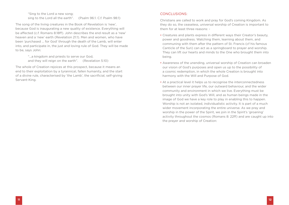"Sing to the Lord a new song; sing to the Lord all the earth". (Psalm 96:1. C.f. Psalm 98:1)

The song of the living creatures in the Book of Revelation is 'new', because God is inaugurating a new quality of existence. Everything will be affected (c.f. Romans 8:18ff). John describes the end result as a 'new' heaven and a 'new' earth (Revelation 21:1). Men and women, who have been 'purchased … for God' through the death of the Lamb, will enter into, and participate in, the just and loving rule of God. They will be made to be, says John:

> "…a kingdom and priests to serve our God, and they will reign on the earth". (Revelation 5:10)

The whole of Creation rejoices at this prospect, because it means an end to their exploitation by a tyrannical, fallen humanity, and the start of a divine rule, characterised by 'the Lamb', the sacrificial, self-giving Servant-King.

#### CONCLUSIONS:

Christians are called to work and pray for God's coming Kingdom. As they do so, the ceaseless, universal worship of Creation is important to them for at least three reasons: -

- Creatures and plants express in different ways their Creator's beauty, power and goodness. Watching them, learning about them, and communing with them after the pattern of St. Francis (cf his famous Canticle of the Sun) can act as a springboard to prayer and worship. They can lift our hearts and minds to the One who brought them into being.
- Awareness of the unending, universal worship of Creation can broaden our vision of God's purposes and open us up to the possibility of a cosmic redemption, in which the whole Creation is brought into harmony with the Will and Purpose of God.
- At a practical level it helps us to recognise the interconnectedness between our inner prayer life, our outward behaviour, and the wider community and environment in which we live. Everything must be brought into unity with God's Will, and as human beings made in the image of God we have a key role to play in enabling this to happen. Worship is not an isolated, individualistic activity. It is part of a much wider movement incorporating the entire universe. As we pray and worship in the power of the Spirit, we join in the Spirit's 'groaning' activity throughout the cosmos (Romans 8: 22ff) and are caught up into the prayer and worship of Creation: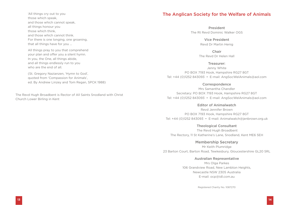'All things cry out to you those which speak, and those which cannot speak, all things honour you those which think, and those which cannot think. For there is one longing, one groaning, that all things have for you …

All things pray to you that comprehend your plan and offer you a silent hymn. In you, the One, all things abide, and all things endlessly run to you who are the end of all.

 (St. Gregory Nazianzen, 'Hymn to God', quoted from 'Compassion for Animals', ed. By Andrew Linzey and Tom Regan, SPCK 1988)

The Revd Hugh Broadbent is Rector of All Saints Snodland with Christ Church Lower Birling in Kent

## The Anglican Society for the Welfare of Animals

President The Rt Revd Dominic Walker OGS

> Vice President Revd Dr Martin Henig

Chair The Revd Dr Helen Hall

Treasurer: Jenny White PO BOX 7193 Hook, Hampshire RG27 8GT Tel: +44 (0)1252 843093 • E-mail: AngSocWelAnimals@aol.com

#### **Correspondence**

Mrs Samantha Chandler Secretary: PO BOX 7193 Hook, Hampshire RG27 8GT Tel: +44 (0)1252 843093 • E-mail: AngSocWelAnimals@aol.com

#### Editor of Animalwatch

Revd Jennifer Brown PO BOX 7193 Hook, Hampshire RG27 8GT Tel: +44 (0)1252 843093 • E-mail: Animalwatch@jenbrown.org.uk

Theological Consultant

 The Revd Hugh Broadbent The Rectory, 11 St Katherine's Lane, Snodland, Kent ME6 5EH

Membership Secretary Mr Keith Plumridge 23 Barton Court, Barton Road, Tewkesbury, Gloucestershire GL20 5RL

Australian Representative

Mrs Olga Parkes 106 Grandview Road, New Lambton Heights, Newcastle NSW 2305 Australia E-mail: ocp@idl.com.au

Registered Charity No. 1087270